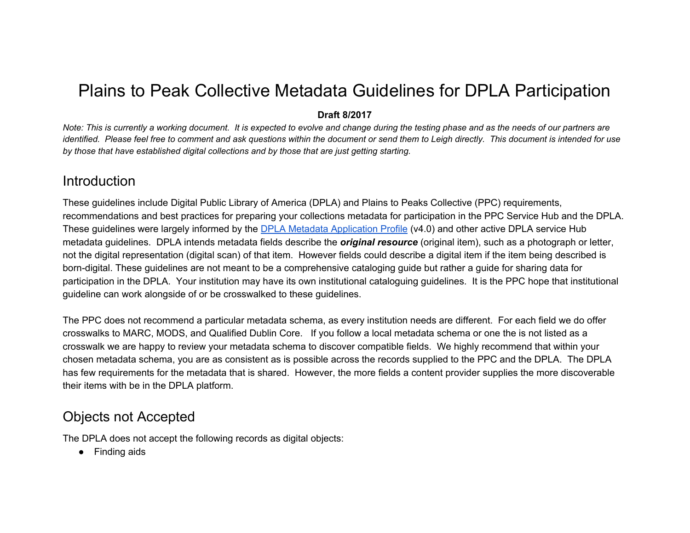# Plains to Peak Collective Metadata Guidelines for DPLA Participation

#### **Draft 8/2017**

Note: This is currently a working document. It is expected to evolve and change during the testing phase and as the needs of our partners are identified. Please feel free to comment and ask questions within the document or send them to Leigh directly. This document is intended for use *by those that have established digital collections and by those that are just getting starting.*

#### Introduction

These guidelines include Digital Public Library of America (DPLA) and Plains to Peaks Collective (PPC) requirements, recommendations and best practices for preparing your collections metadata for participation in the PPC Service Hub and the DPLA. These guidelines were largely informed by the DPLA Metadata [Application](https://dp.la/info/wp-content/uploads/2015/03/MAPv4.pdf) Profile (v4.0) and other active DPLA service Hub metadata guidelines. DPLA intends metadata fields describe the *original resource* (original item), such as a photograph or letter, not the digital representation (digital scan) of that item. However fields could describe a digital item if the item being described is born-digital. These guidelines are not meant to be a comprehensive cataloging guide but rather a guide for sharing data for participation in the DPLA. Your institution may have its own institutional cataloguing guidelines. It is the PPC hope that institutional guideline can work alongside of or be crosswalked to these guidelines.

The PPC does not recommend a particular metadata schema, as every institution needs are different. For each field we do offer crosswalks to MARC, MODS, and Qualified Dublin Core. If you follow a local metadata schema or one the is not listed as a crosswalk we are happy to review your metadata schema to discover compatible fields. We highly recommend that within your chosen metadata schema, you are as consistent as is possible across the records supplied to the PPC and the DPLA. The DPLA has few requirements for the metadata that is shared. However, the more fields a content provider supplies the more discoverable their items with be in the DPLA platform.

#### Objects not Accepted

The DPLA does not accept the following records as digital objects:

● Finding aids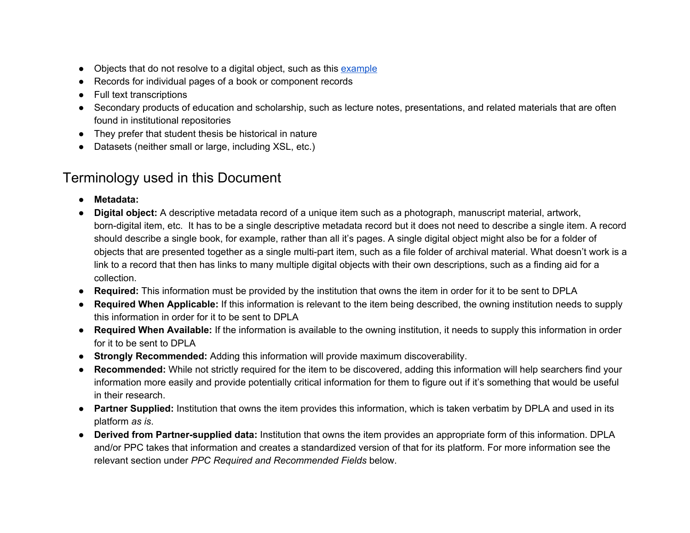- Objects that do not resolve to a digital object, such as this [example](http://c70003.eos-intl.net/C70003/OPAC/Details/Record.aspx?BibCode=16067580)
- Records for individual pages of a book or component records
- **Full text transcriptions**
- Secondary products of education and scholarship, such as lecture notes, presentations, and related materials that are often found in institutional repositories
- They prefer that student thesis be historical in nature
- Datasets (neither small or large, including XSL, etc.)

### Terminology used in this Document

- **Metadata:**
- **Digital object:** A descriptive metadata record of a unique item such as a photograph, manuscript material, artwork, born-digital item, etc. It has to be a single descriptive metadata record but it does not need to describe a single item. A record should describe a single book, for example, rather than all it's pages. A single digital object might also be for a folder of objects that are presented together as a single multi-part item, such as a file folder of archival material. What doesn't work is a link to a record that then has links to many multiple digital objects with their own descriptions, such as a finding aid for a collection.
- **Required:** This information must be provided by the institution that owns the item in order for it to be sent to DPLA
- **Required When Applicable:** If this information is relevant to the item being described, the owning institution needs to supply this information in order for it to be sent to DPLA
- **Required When Available:** If the information is available to the owning institution, it needs to supply this information in order for it to be sent to DPLA
- **Strongly Recommended:** Adding this information will provide maximum discoverability.
- **Recommended:** While not strictly required for the item to be discovered, adding this information will help searchers find your information more easily and provide potentially critical information for them to figure out if it's something that would be useful in their research.
- **Partner Supplied:** Institution that owns the item provides this information, which is taken verbatim by DPLA and used in its platform *as is*.
- **Derived from Partner-supplied data:** Institution that owns the item provides an appropriate form of this information. DPLA and/or PPC takes that information and creates a standardized version of that for its platform. For more information see the relevant section under *PPC Required and Recommended Fields* below.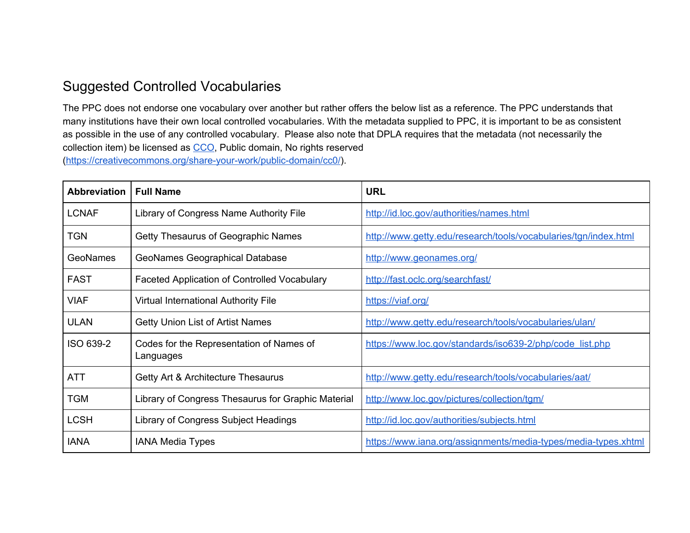#### Suggested Controlled Vocabularies

The PPC does not endorse one vocabulary over another but rather offers the below list as a reference. The PPC understands that many institutions have their own local controlled vocabularies. With the metadata supplied to PPC, it is important to be as consistent as possible in the use of any controlled vocabulary. Please also note that DPLA requires that the metadata (not necessarily the collection item) be licensed as [CCO,](https://creativecommons.org/share-your-work/public-domain/cc0/) Public domain, No rights reserved [\(https://creativecommons.org/share-your-work/public-domain/cc0/\)](https://creativecommons.org/share-your-work/public-domain/cc0/).

| <b>Abbreviation</b> | <b>Full Name</b>                                      | <b>URL</b>                                                      |
|---------------------|-------------------------------------------------------|-----------------------------------------------------------------|
| <b>LCNAF</b>        | Library of Congress Name Authority File               | http://id.loc.gov/authorities/names.html                        |
| <b>TGN</b>          | Getty Thesaurus of Geographic Names                   | http://www.getty.edu/research/tools/vocabularies/tgn/index.html |
| <b>GeoNames</b>     | GeoNames Geographical Database                        | http://www.geonames.org/                                        |
| <b>FAST</b>         | <b>Faceted Application of Controlled Vocabulary</b>   | http://fast.oclc.org/searchfast/                                |
| <b>VIAF</b>         | <b>Virtual International Authority File</b>           | https://viaf.org/                                               |
| <b>ULAN</b>         | Getty Union List of Artist Names                      | http://www.getty.edu/research/tools/vocabularies/ulan/          |
| ISO 639-2           | Codes for the Representation of Names of<br>Languages | https://www.loc.gov/standards/iso639-2/php/code list.php        |
| <b>ATT</b>          | Getty Art & Architecture Thesaurus                    | http://www.getty.edu/research/tools/vocabularies/aat/           |
| <b>TGM</b>          | Library of Congress Thesaurus for Graphic Material    | http://www.loc.gov/pictures/collection/tgm/                     |
| <b>LCSH</b>         | Library of Congress Subject Headings                  | http://id.loc.gov/authorities/subjects.html                     |
| <b>IANA</b>         | <b>IANA Media Types</b>                               | https://www.iana.org/assignments/media-types/media-types.xhtml  |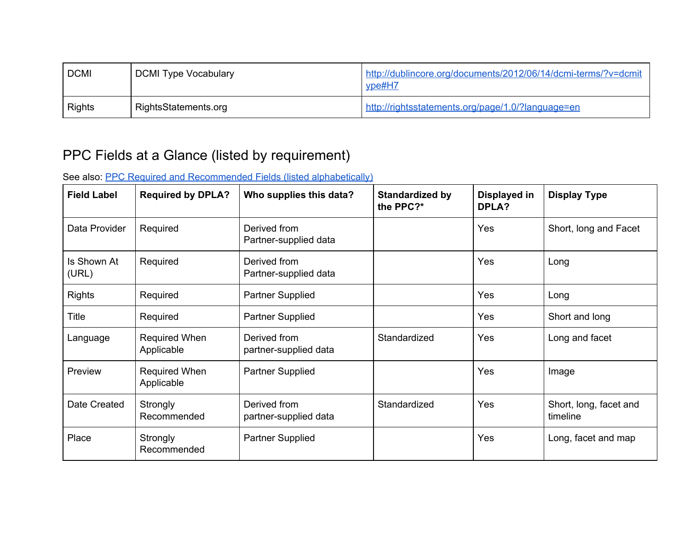| <b>DCMI</b> | DCMI Type Vocabulary | http://dublincore.org/documents/2012/06/14/dcmi-terms/?v=dcmit<br>$y$ pe#H $7$ |
|-------------|----------------------|--------------------------------------------------------------------------------|
| Rights      | RightsStatements.org | http://rightsstatements.org/page/1.0/?language=en                              |

# PPC Fields at a Glance (listed by requirement)

See also: PPC Required and [Recommended](#page-4-0) Fields (listed alphabetically)

| <b>Field Label</b>   | <b>Required by DPLA?</b>    | Who supplies this data?               | <b>Standardized by</b><br>the PPC?* | Displayed in<br><b>DPLA?</b> | <b>Display Type</b>                |
|----------------------|-----------------------------|---------------------------------------|-------------------------------------|------------------------------|------------------------------------|
| Data Provider        | Required                    | Derived from<br>Partner-supplied data |                                     | Yes                          | Short, long and Facet              |
| Is Shown At<br>(URL) | Required                    | Derived from<br>Partner-supplied data |                                     | Yes                          | Long                               |
| <b>Rights</b>        | Required                    | <b>Partner Supplied</b>               |                                     | Yes                          | Long                               |
| Title                | Required                    | <b>Partner Supplied</b>               |                                     | Yes                          | Short and long                     |
| Language             | Required When<br>Applicable | Derived from<br>partner-supplied data | Standardized                        | Yes                          | Long and facet                     |
| Preview              | Required When<br>Applicable | <b>Partner Supplied</b>               |                                     | Yes                          | Image                              |
| Date Created         | Strongly<br>Recommended     | Derived from<br>partner-supplied data | Standardized                        | Yes                          | Short, long, facet and<br>timeline |
| Place                | Strongly<br>Recommended     | <b>Partner Supplied</b>               |                                     | Yes                          | Long, facet and map                |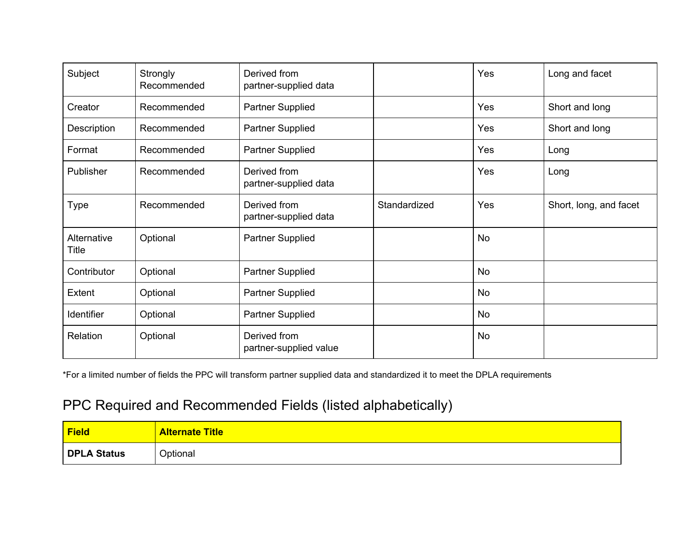| Subject              | Strongly<br>Recommended | Derived from<br>partner-supplied data  |              | Yes       | Long and facet         |
|----------------------|-------------------------|----------------------------------------|--------------|-----------|------------------------|
| Creator              | Recommended             | Partner Supplied                       |              | Yes       | Short and long         |
| Description          | Recommended             | <b>Partner Supplied</b>                |              | Yes       | Short and long         |
| Format               | Recommended             | Partner Supplied                       |              | Yes       | Long                   |
| Publisher            | Recommended             | Derived from<br>partner-supplied data  |              | Yes       | Long                   |
| <b>Type</b>          | Recommended             | Derived from<br>partner-supplied data  | Standardized | Yes       | Short, long, and facet |
| Alternative<br>Title | Optional                | <b>Partner Supplied</b>                |              | <b>No</b> |                        |
| Contributor          | Optional                | Partner Supplied                       |              | <b>No</b> |                        |
| Extent               | Optional                | <b>Partner Supplied</b>                |              | <b>No</b> |                        |
| Identifier           | Optional                | Partner Supplied                       |              | <b>No</b> |                        |
| Relation             | Optional                | Derived from<br>partner-supplied value |              | <b>No</b> |                        |

\*For a limited number of fields the PPC will transform partner supplied data and standardized it to meet the DPLA requirements

# <span id="page-4-0"></span>PPC Required and Recommended Fields (listed alphabetically)

| Field       | <b>Alternate Title</b> |
|-------------|------------------------|
| DPLA Status | Optional               |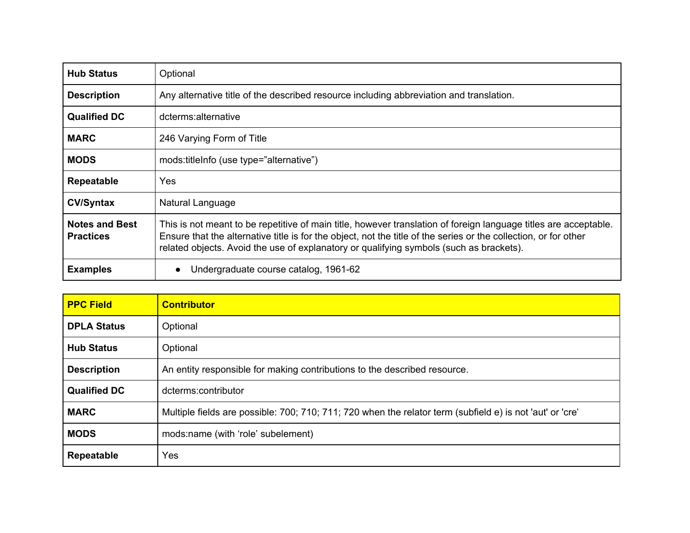| <b>Hub Status</b>                         | Optional                                                                                                                                                                                                                                                                                                                        |
|-------------------------------------------|---------------------------------------------------------------------------------------------------------------------------------------------------------------------------------------------------------------------------------------------------------------------------------------------------------------------------------|
| <b>Description</b>                        | Any alternative title of the described resource including abbreviation and translation.                                                                                                                                                                                                                                         |
| <b>Qualified DC</b>                       | dcterms:alternative                                                                                                                                                                                                                                                                                                             |
| <b>MARC</b>                               | 246 Varying Form of Title                                                                                                                                                                                                                                                                                                       |
| <b>MODS</b>                               | mods:titleInfo (use type="alternative")                                                                                                                                                                                                                                                                                         |
| <b>Repeatable</b>                         | Yes                                                                                                                                                                                                                                                                                                                             |
| <b>CV/Syntax</b>                          | Natural Language                                                                                                                                                                                                                                                                                                                |
| <b>Notes and Best</b><br><b>Practices</b> | This is not meant to be repetitive of main title, however translation of foreign language titles are acceptable.<br>Ensure that the alternative title is for the object, not the title of the series or the collection, or for other<br>related objects. Avoid the use of explanatory or qualifying symbols (such as brackets). |
| <b>Examples</b>                           | Undergraduate course catalog, 1961-62<br>$\bullet$                                                                                                                                                                                                                                                                              |

| <b>PPC Field</b>    | <b>Contributor</b>                                                                                        |
|---------------------|-----------------------------------------------------------------------------------------------------------|
| <b>DPLA Status</b>  | Optional                                                                                                  |
| <b>Hub Status</b>   | Optional                                                                                                  |
| <b>Description</b>  | An entity responsible for making contributions to the described resource.                                 |
| <b>Qualified DC</b> | dcterms:contributor                                                                                       |
| <b>MARC</b>         | Multiple fields are possible: 700; 710; 711; 720 when the relator term (subfield e) is not 'aut' or 'cre' |
| <b>MODS</b>         | mods:name (with 'role' subelement)                                                                        |
| <b>Repeatable</b>   | Yes                                                                                                       |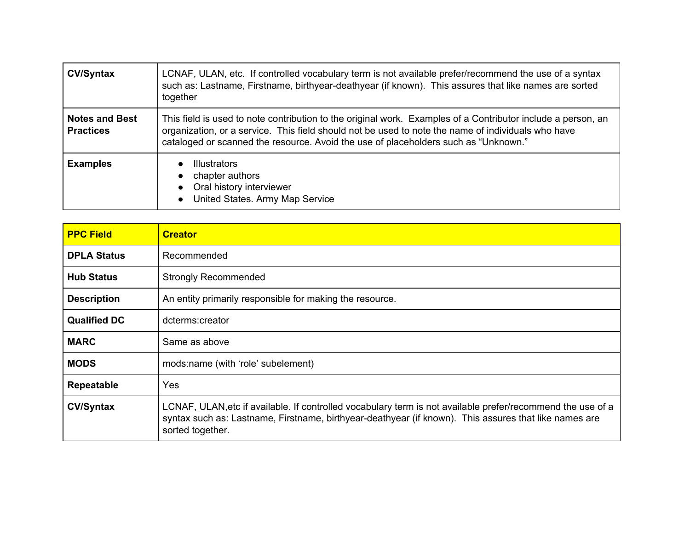| <b>CV/Syntax</b>                          | LCNAF, ULAN, etc. If controlled vocabulary term is not available prefer/recommend the use of a syntax<br>such as: Lastname, Firstname, birthyear-deathyear (if known). This assures that like names are sorted<br>together                                                                                |
|-------------------------------------------|-----------------------------------------------------------------------------------------------------------------------------------------------------------------------------------------------------------------------------------------------------------------------------------------------------------|
| <b>Notes and Best</b><br><b>Practices</b> | This field is used to note contribution to the original work. Examples of a Contributor include a person, an<br>organization, or a service. This field should not be used to note the name of individuals who have<br>cataloged or scanned the resource. Avoid the use of placeholders such as "Unknown." |
| <b>Examples</b>                           | <b>Illustrators</b><br>chapter authors<br>Oral history interviewer<br>United States. Army Map Service                                                                                                                                                                                                     |

| <b>PPC Field</b>    | <b>Creator</b>                                                                                                                                                                                                                           |
|---------------------|------------------------------------------------------------------------------------------------------------------------------------------------------------------------------------------------------------------------------------------|
| <b>DPLA Status</b>  | Recommended                                                                                                                                                                                                                              |
| <b>Hub Status</b>   | <b>Strongly Recommended</b>                                                                                                                                                                                                              |
| <b>Description</b>  | An entity primarily responsible for making the resource.                                                                                                                                                                                 |
| <b>Qualified DC</b> | dcterms:creator                                                                                                                                                                                                                          |
| <b>MARC</b>         | Same as above                                                                                                                                                                                                                            |
| <b>MODS</b>         | mods:name (with 'role' subelement)                                                                                                                                                                                                       |
| Repeatable          | Yes                                                                                                                                                                                                                                      |
| <b>CV/Syntax</b>    | LCNAF, ULAN, etc if available. If controlled vocabulary term is not available prefer/recommend the use of a<br>syntax such as: Lastname, Firstname, birthyear-deathyear (if known). This assures that like names are<br>sorted together. |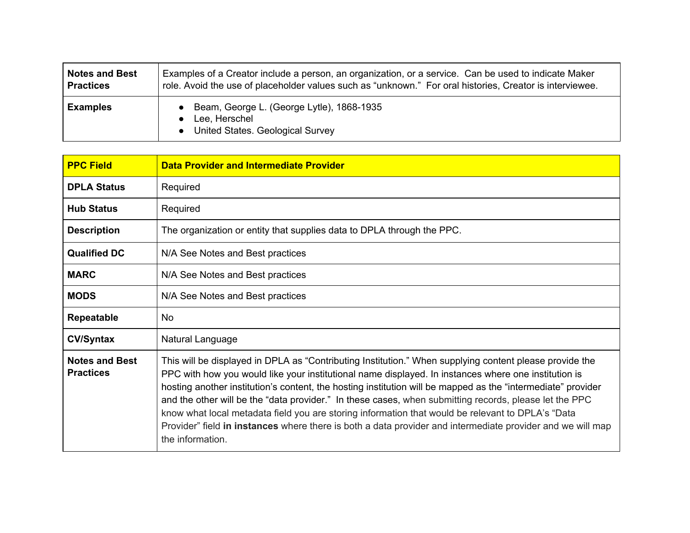| <b>Notes and Best</b> | Examples of a Creator include a person, an organization, or a service. Can be used to indicate Maker     |
|-----------------------|----------------------------------------------------------------------------------------------------------|
| <b>Practices</b>      | role. Avoid the use of placeholder values such as "unknown." For oral histories, Creator is interviewee. |
| <b>Examples</b>       | • Beam, George L. (George Lytle), 1868-1935<br>Lee, Herschel<br>• United States. Geological Survey       |

| <b>PPC Field</b>                          | <b>Data Provider and Intermediate Provider</b>                                                                                                                                                                                                                                                                                                                                                                                                                                                                                                                                                                                                                                   |
|-------------------------------------------|----------------------------------------------------------------------------------------------------------------------------------------------------------------------------------------------------------------------------------------------------------------------------------------------------------------------------------------------------------------------------------------------------------------------------------------------------------------------------------------------------------------------------------------------------------------------------------------------------------------------------------------------------------------------------------|
| <b>DPLA Status</b>                        | Required                                                                                                                                                                                                                                                                                                                                                                                                                                                                                                                                                                                                                                                                         |
| <b>Hub Status</b>                         | Required                                                                                                                                                                                                                                                                                                                                                                                                                                                                                                                                                                                                                                                                         |
| <b>Description</b>                        | The organization or entity that supplies data to DPLA through the PPC.                                                                                                                                                                                                                                                                                                                                                                                                                                                                                                                                                                                                           |
| <b>Qualified DC</b>                       | N/A See Notes and Best practices                                                                                                                                                                                                                                                                                                                                                                                                                                                                                                                                                                                                                                                 |
| <b>MARC</b>                               | N/A See Notes and Best practices                                                                                                                                                                                                                                                                                                                                                                                                                                                                                                                                                                                                                                                 |
| <b>MODS</b>                               | N/A See Notes and Best practices                                                                                                                                                                                                                                                                                                                                                                                                                                                                                                                                                                                                                                                 |
| <b>Repeatable</b>                         | No.                                                                                                                                                                                                                                                                                                                                                                                                                                                                                                                                                                                                                                                                              |
| <b>CV/Syntax</b>                          | Natural Language                                                                                                                                                                                                                                                                                                                                                                                                                                                                                                                                                                                                                                                                 |
| <b>Notes and Best</b><br><b>Practices</b> | This will be displayed in DPLA as "Contributing Institution." When supplying content please provide the<br>PPC with how you would like your institutional name displayed. In instances where one institution is<br>hosting another institution's content, the hosting institution will be mapped as the "intermediate" provider<br>and the other will be the "data provider." In these cases, when submitting records, please let the PPC<br>know what local metadata field you are storing information that would be relevant to DPLA's "Data<br>Provider" field in instances where there is both a data provider and intermediate provider and we will map<br>the information. |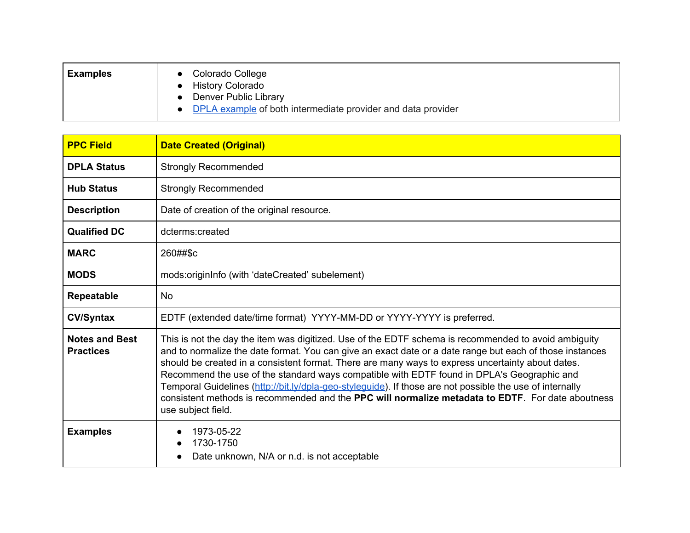| <b>Examples</b> | Colorado College<br><b>History Colorado</b>                  |
|-----------------|--------------------------------------------------------------|
|                 | Denver Public Library                                        |
|                 | DPLA example of both intermediate provider and data provider |

| <b>PPC Field</b>                          | <b>Date Created (Original)</b>                                                                                                                                                                                                                                                                                                                                                                                                                                                                                                                                                                                                                                     |
|-------------------------------------------|--------------------------------------------------------------------------------------------------------------------------------------------------------------------------------------------------------------------------------------------------------------------------------------------------------------------------------------------------------------------------------------------------------------------------------------------------------------------------------------------------------------------------------------------------------------------------------------------------------------------------------------------------------------------|
| <b>DPLA Status</b>                        | <b>Strongly Recommended</b>                                                                                                                                                                                                                                                                                                                                                                                                                                                                                                                                                                                                                                        |
| <b>Hub Status</b>                         | <b>Strongly Recommended</b>                                                                                                                                                                                                                                                                                                                                                                                                                                                                                                                                                                                                                                        |
| <b>Description</b>                        | Date of creation of the original resource.                                                                                                                                                                                                                                                                                                                                                                                                                                                                                                                                                                                                                         |
| <b>Qualified DC</b>                       | dcterms:created                                                                                                                                                                                                                                                                                                                                                                                                                                                                                                                                                                                                                                                    |
| <b>MARC</b>                               | 260##\$c                                                                                                                                                                                                                                                                                                                                                                                                                                                                                                                                                                                                                                                           |
| <b>MODS</b>                               | mods:originInfo (with 'dateCreated' subelement)                                                                                                                                                                                                                                                                                                                                                                                                                                                                                                                                                                                                                    |
| Repeatable                                | <b>No</b>                                                                                                                                                                                                                                                                                                                                                                                                                                                                                                                                                                                                                                                          |
| <b>CV/Syntax</b>                          | EDTF (extended date/time format) YYYY-MM-DD or YYYY-YYYY is preferred.                                                                                                                                                                                                                                                                                                                                                                                                                                                                                                                                                                                             |
| <b>Notes and Best</b><br><b>Practices</b> | This is not the day the item was digitized. Use of the EDTF schema is recommended to avoid ambiguity<br>and to normalize the date format. You can give an exact date or a date range but each of those instances<br>should be created in a consistent format. There are many ways to express uncertainty about dates.<br>Recommend the use of the standard ways compatible with EDTF found in DPLA's Geographic and<br>Temporal Guidelines (http://bit.ly/dpla-geo-styleguide). If those are not possible the use of internally<br>consistent methods is recommended and the <b>PPC will normalize metadata to EDTF</b> . For date aboutness<br>use subject field. |
| <b>Examples</b>                           | 1973-05-22<br>1730-1750<br>Date unknown, N/A or n.d. is not acceptable                                                                                                                                                                                                                                                                                                                                                                                                                                                                                                                                                                                             |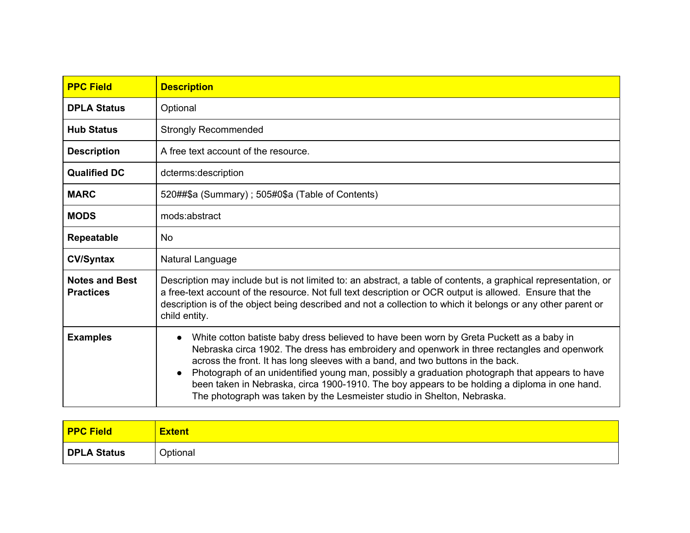| <b>PPC Field</b>                          | <b>Description</b>                                                                                                                                                                                                                                                                                                                                                                                                                                                                                                                                                                 |
|-------------------------------------------|------------------------------------------------------------------------------------------------------------------------------------------------------------------------------------------------------------------------------------------------------------------------------------------------------------------------------------------------------------------------------------------------------------------------------------------------------------------------------------------------------------------------------------------------------------------------------------|
| <b>DPLA Status</b>                        | Optional                                                                                                                                                                                                                                                                                                                                                                                                                                                                                                                                                                           |
| <b>Hub Status</b>                         | <b>Strongly Recommended</b>                                                                                                                                                                                                                                                                                                                                                                                                                                                                                                                                                        |
| <b>Description</b>                        | A free text account of the resource.                                                                                                                                                                                                                                                                                                                                                                                                                                                                                                                                               |
| <b>Qualified DC</b>                       | dcterms:description                                                                                                                                                                                                                                                                                                                                                                                                                                                                                                                                                                |
| <b>MARC</b>                               | 520##\$a (Summary); 505#0\$a (Table of Contents)                                                                                                                                                                                                                                                                                                                                                                                                                                                                                                                                   |
| <b>MODS</b>                               | mods:abstract                                                                                                                                                                                                                                                                                                                                                                                                                                                                                                                                                                      |
| Repeatable                                | No.                                                                                                                                                                                                                                                                                                                                                                                                                                                                                                                                                                                |
| <b>CV/Syntax</b>                          | Natural Language                                                                                                                                                                                                                                                                                                                                                                                                                                                                                                                                                                   |
| <b>Notes and Best</b><br><b>Practices</b> | Description may include but is not limited to: an abstract, a table of contents, a graphical representation, or<br>a free-text account of the resource. Not full text description or OCR output is allowed. Ensure that the<br>description is of the object being described and not a collection to which it belongs or any other parent or<br>child entity.                                                                                                                                                                                                                       |
| <b>Examples</b>                           | White cotton batiste baby dress believed to have been worn by Greta Puckett as a baby in<br>$\bullet$<br>Nebraska circa 1902. The dress has embroidery and openwork in three rectangles and openwork<br>across the front. It has long sleeves with a band, and two buttons in the back.<br>Photograph of an unidentified young man, possibly a graduation photograph that appears to have<br>$\bullet$<br>been taken in Nebraska, circa 1900-1910. The boy appears to be holding a diploma in one hand.<br>The photograph was taken by the Lesmeister studio in Shelton, Nebraska. |

| <b>PPC Field</b>   | <b>Extent</b> |
|--------------------|---------------|
| <b>DPLA Status</b> | Optional      |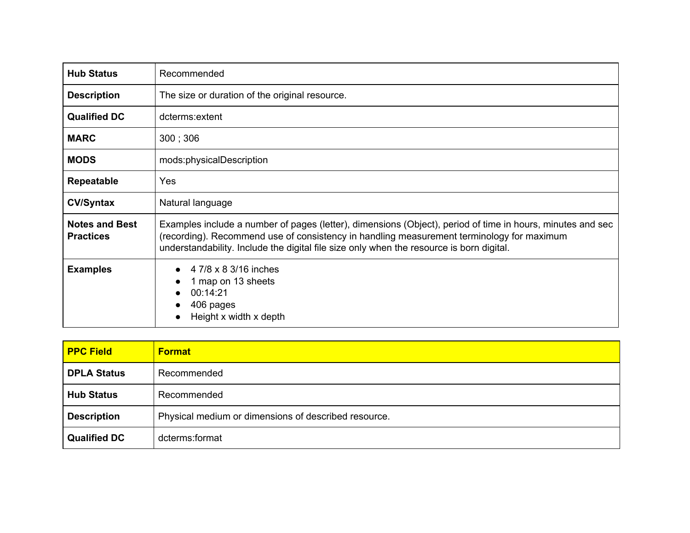| <b>Hub Status</b>                         | Recommended                                                                                                                                                                                                                                                                                         |
|-------------------------------------------|-----------------------------------------------------------------------------------------------------------------------------------------------------------------------------------------------------------------------------------------------------------------------------------------------------|
| <b>Description</b>                        | The size or duration of the original resource.                                                                                                                                                                                                                                                      |
| <b>Qualified DC</b>                       | dcterms:extent                                                                                                                                                                                                                                                                                      |
| <b>MARC</b>                               | 300:306                                                                                                                                                                                                                                                                                             |
| <b>MODS</b>                               | mods:physicalDescription                                                                                                                                                                                                                                                                            |
| <b>Repeatable</b>                         | Yes                                                                                                                                                                                                                                                                                                 |
| <b>CV/Syntax</b>                          | Natural language                                                                                                                                                                                                                                                                                    |
| <b>Notes and Best</b><br><b>Practices</b> | Examples include a number of pages (letter), dimensions (Object), period of time in hours, minutes and sec<br>(recording). Recommend use of consistency in handling measurement terminology for maximum<br>understandability. Include the digital file size only when the resource is born digital. |
| <b>Examples</b>                           | 4 7/8 x 8 3/16 inches<br>1 map on 13 sheets<br>00:14:21<br>406 pages<br>$\bullet$<br>Height x width x depth                                                                                                                                                                                         |

| <b>PPC Field</b>    | <b>Format</b>                                        |
|---------------------|------------------------------------------------------|
| <b>DPLA Status</b>  | Recommended                                          |
| <b>Hub Status</b>   | Recommended                                          |
| <b>Description</b>  | Physical medium or dimensions of described resource. |
| <b>Qualified DC</b> | dcterms:format                                       |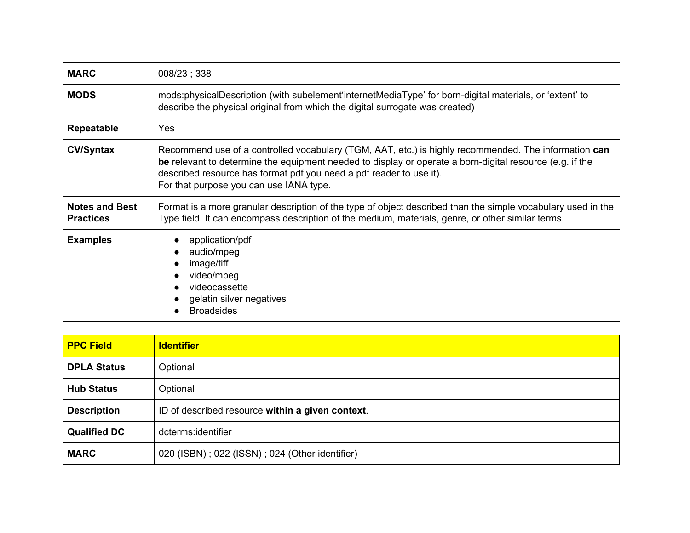| <b>MARC</b>                               | 008/23; 338                                                                                                                                                                                                                                                                                                                        |
|-------------------------------------------|------------------------------------------------------------------------------------------------------------------------------------------------------------------------------------------------------------------------------------------------------------------------------------------------------------------------------------|
| <b>MODS</b>                               | mods:physicalDescription (with subelement internet MediaType' for born-digital materials, or 'extent' to<br>describe the physical original from which the digital surrogate was created)                                                                                                                                           |
| Repeatable                                | <b>Yes</b>                                                                                                                                                                                                                                                                                                                         |
| <b>CV/Syntax</b>                          | Recommend use of a controlled vocabulary (TGM, AAT, etc.) is highly recommended. The information can<br>be relevant to determine the equipment needed to display or operate a born-digital resource (e.g. if the<br>described resource has format pdf you need a pdf reader to use it).<br>For that purpose you can use IANA type. |
| <b>Notes and Best</b><br><b>Practices</b> | Format is a more granular description of the type of object described than the simple vocabulary used in the<br>Type field. It can encompass description of the medium, materials, genre, or other similar terms.                                                                                                                  |
| <b>Examples</b>                           | application/pdf<br>audio/mpeg<br>image/tiff<br>$\bullet$<br>video/mpeg<br>videocassette<br>gelatin silver negatives<br><b>Broadsides</b>                                                                                                                                                                                           |

| <b>PPC Field</b>    | <b>Identifier</b>                                |
|---------------------|--------------------------------------------------|
| <b>DPLA Status</b>  | Optional                                         |
| <b>Hub Status</b>   | Optional                                         |
| <b>Description</b>  | ID of described resource within a given context. |
| <b>Qualified DC</b> | dcterms:identifier                               |
| <b>MARC</b>         | 020 (ISBN); 022 (ISSN); 024 (Other identifier)   |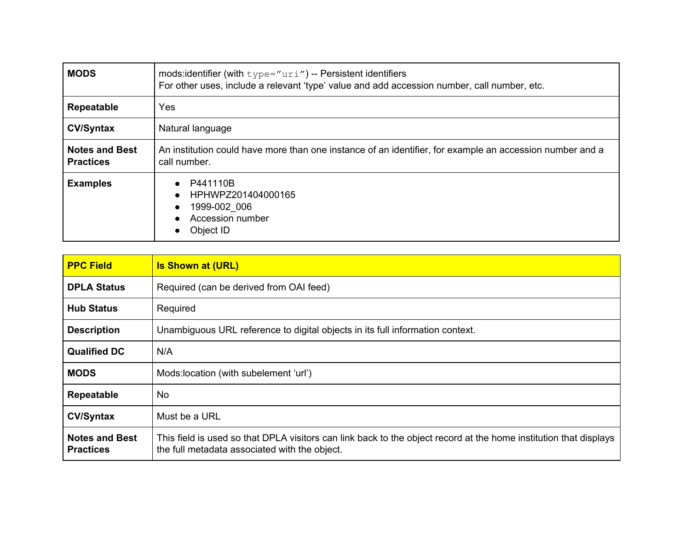| <b>MODS</b>                               | mods: identifier (with $type="urif')$ -- Persistent identifiers<br>For other uses, include a relevant 'type' value and add accession number, call number, etc. |
|-------------------------------------------|----------------------------------------------------------------------------------------------------------------------------------------------------------------|
| <b>Repeatable</b>                         | Yes                                                                                                                                                            |
| <b>CV/Syntax</b>                          | Natural language                                                                                                                                               |
| <b>Notes and Best</b><br><b>Practices</b> | An institution could have more than one instance of an identifier, for example an accession number and a<br>call number.                                       |
| <b>Examples</b>                           | P441110B<br>$\bullet$<br>HPHWPZ201404000165<br>$\bullet$<br>1999-002 006<br>$\bullet$<br>Accession number<br>$\bullet$<br>Object ID                            |

| <b>PPC Field</b>                          | <b>Is Shown at (URL)</b>                                                                                                                                           |
|-------------------------------------------|--------------------------------------------------------------------------------------------------------------------------------------------------------------------|
| <b>DPLA Status</b>                        | Required (can be derived from OAI feed)                                                                                                                            |
| <b>Hub Status</b>                         | Required                                                                                                                                                           |
| <b>Description</b>                        | Unambiguous URL reference to digital objects in its full information context.                                                                                      |
| <b>Qualified DC</b>                       | N/A                                                                                                                                                                |
| <b>MODS</b>                               | Mods: location (with subelement 'url')                                                                                                                             |
| Repeatable                                | No.                                                                                                                                                                |
| <b>CV/Syntax</b>                          | Must be a URL                                                                                                                                                      |
| <b>Notes and Best</b><br><b>Practices</b> | This field is used so that DPLA visitors can link back to the object record at the home institution that displays<br>the full metadata associated with the object. |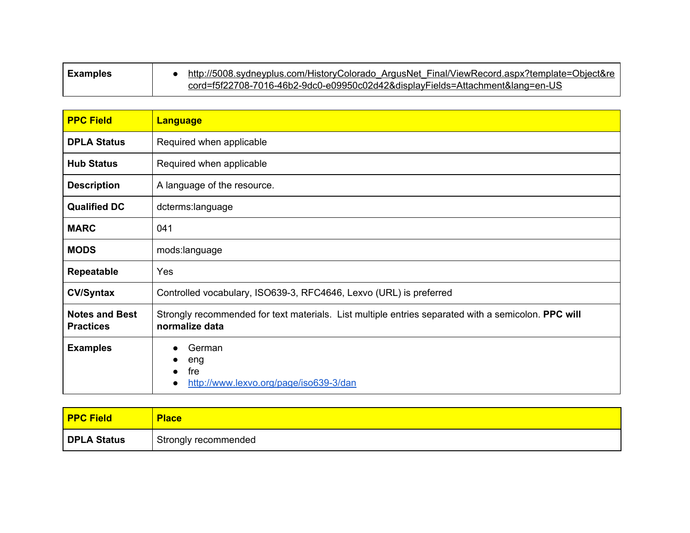| <b>Examples</b> | http://5008.sydneyplus.com/HistoryColorado ArgusNet Final/ViewRecord.aspx?template=Object&re |
|-----------------|----------------------------------------------------------------------------------------------|
|                 | cord=f5f22708-7016-46b2-9dc0-e09950c02d42&displayFields=Attachment⟨=en-US                    |

| <b>PPC Field</b>                          | <b>Language</b>                                                                                                       |
|-------------------------------------------|-----------------------------------------------------------------------------------------------------------------------|
| <b>DPLA Status</b>                        | Required when applicable                                                                                              |
| <b>Hub Status</b>                         | Required when applicable                                                                                              |
| <b>Description</b>                        | A language of the resource.                                                                                           |
| <b>Qualified DC</b>                       | dcterms:language                                                                                                      |
| <b>MARC</b>                               | 041                                                                                                                   |
| <b>MODS</b>                               | mods:language                                                                                                         |
| Repeatable                                | Yes                                                                                                                   |
| <b>CV/Syntax</b>                          | Controlled vocabulary, ISO639-3, RFC4646, Lexvo (URL) is preferred                                                    |
| <b>Notes and Best</b><br><b>Practices</b> | Strongly recommended for text materials. List multiple entries separated with a semicolon. PPC will<br>normalize data |
| <b>Examples</b>                           | German<br>eng<br>fre<br>http://www.lexvo.org/page/iso639-3/dan                                                        |

| <b>PPC Field</b> | <b>Place</b>         |
|------------------|----------------------|
| DPLA Status      | Strongly recommended |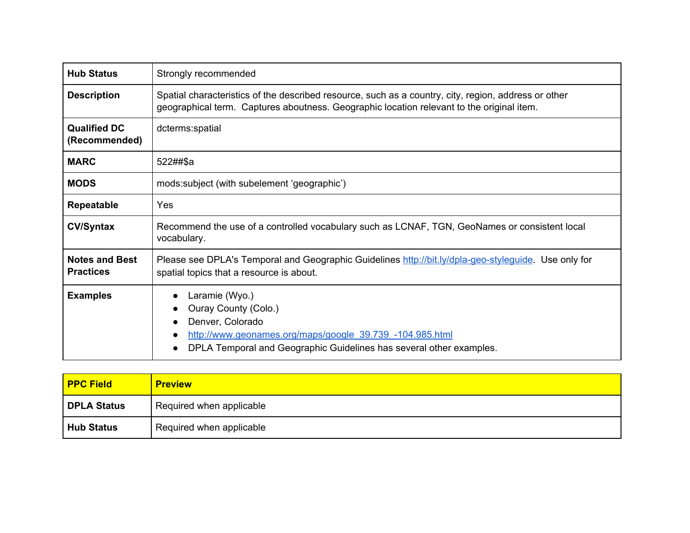| <b>Hub Status</b>                         | Strongly recommended                                                                                                                                                                              |
|-------------------------------------------|---------------------------------------------------------------------------------------------------------------------------------------------------------------------------------------------------|
| <b>Description</b>                        | Spatial characteristics of the described resource, such as a country, city, region, address or other<br>geographical term. Captures aboutness. Geographic location relevant to the original item. |
| <b>Qualified DC</b><br>(Recommended)      | dcterms:spatial                                                                                                                                                                                   |
| <b>MARC</b>                               | 522##\$a                                                                                                                                                                                          |
| <b>MODS</b>                               | mods:subject (with subelement 'geographic')                                                                                                                                                       |
| <b>Repeatable</b>                         | Yes                                                                                                                                                                                               |
| <b>CV/Syntax</b>                          | Recommend the use of a controlled vocabulary such as LCNAF, TGN, GeoNames or consistent local<br>vocabulary.                                                                                      |
| <b>Notes and Best</b><br><b>Practices</b> | Please see DPLA's Temporal and Geographic Guidelines http://bit.ly/dpla-geo-stylequide. Use only for<br>spatial topics that a resource is about.                                                  |
| <b>Examples</b>                           | Laramie (Wyo.)<br>Ouray County (Colo.)<br>Denver, Colorado<br>http://www.geonames.org/maps/google_39.739_-104.985.html<br>DPLA Temporal and Geographic Guidelines has several other examples.     |

| <b>PPC Field</b>   | <b>Preview</b>           |
|--------------------|--------------------------|
| <b>DPLA Status</b> | Required when applicable |
| <b>Hub Status</b>  | Required when applicable |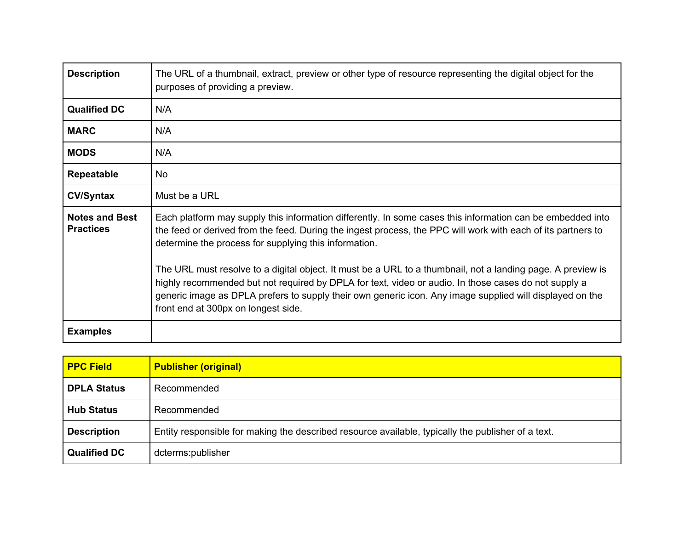| <b>Description</b>                        | The URL of a thumbnail, extract, preview or other type of resource representing the digital object for the<br>purposes of providing a preview.                                                                                                                                                                                                                         |
|-------------------------------------------|------------------------------------------------------------------------------------------------------------------------------------------------------------------------------------------------------------------------------------------------------------------------------------------------------------------------------------------------------------------------|
| <b>Qualified DC</b>                       | N/A                                                                                                                                                                                                                                                                                                                                                                    |
| <b>MARC</b>                               | N/A                                                                                                                                                                                                                                                                                                                                                                    |
| <b>MODS</b>                               | N/A                                                                                                                                                                                                                                                                                                                                                                    |
| <b>Repeatable</b>                         | No.                                                                                                                                                                                                                                                                                                                                                                    |
| <b>CV/Syntax</b>                          | Must be a URL                                                                                                                                                                                                                                                                                                                                                          |
| <b>Notes and Best</b><br><b>Practices</b> | Each platform may supply this information differently. In some cases this information can be embedded into<br>the feed or derived from the feed. During the ingest process, the PPC will work with each of its partners to<br>determine the process for supplying this information.                                                                                    |
|                                           | The URL must resolve to a digital object. It must be a URL to a thumbnail, not a landing page. A preview is<br>highly recommended but not required by DPLA for text, video or audio. In those cases do not supply a<br>generic image as DPLA prefers to supply their own generic icon. Any image supplied will displayed on the<br>front end at 300px on longest side. |
| <b>Examples</b>                           |                                                                                                                                                                                                                                                                                                                                                                        |

| <b>PPC Field</b>    | <b>Publisher (original)</b>                                                                        |
|---------------------|----------------------------------------------------------------------------------------------------|
| <b>DPLA Status</b>  | Recommended                                                                                        |
| <b>Hub Status</b>   | Recommended                                                                                        |
| <b>Description</b>  | Entity responsible for making the described resource available, typically the publisher of a text. |
| <b>Qualified DC</b> | dcterms:publisher                                                                                  |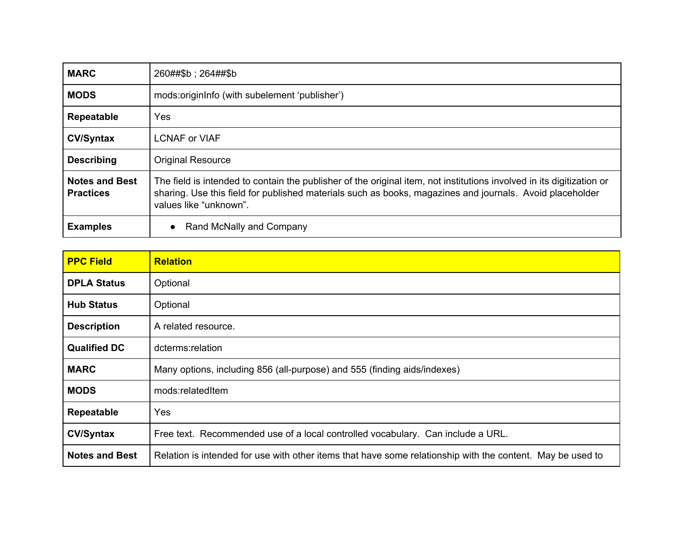| <b>MARC</b>                               | 260##\$b; 264##\$b                                                                                                                                                                                                                                          |
|-------------------------------------------|-------------------------------------------------------------------------------------------------------------------------------------------------------------------------------------------------------------------------------------------------------------|
| <b>MODS</b>                               | mods:originlnfo (with subelement 'publisher')                                                                                                                                                                                                               |
| <b>Repeatable</b>                         | Yes                                                                                                                                                                                                                                                         |
| <b>CV/Syntax</b>                          | <b>LCNAF or VIAF</b>                                                                                                                                                                                                                                        |
| <b>Describing</b>                         | <b>Original Resource</b>                                                                                                                                                                                                                                    |
| <b>Notes and Best</b><br><b>Practices</b> | The field is intended to contain the publisher of the original item, not institutions involved in its digitization or<br>sharing. Use this field for published materials such as books, magazines and journals. Avoid placeholder<br>values like "unknown". |
| <b>Examples</b>                           | Rand McNally and Company                                                                                                                                                                                                                                    |

| <b>PPC Field</b>      | <b>Relation</b>                                                                                            |
|-----------------------|------------------------------------------------------------------------------------------------------------|
| <b>DPLA Status</b>    | Optional                                                                                                   |
| <b>Hub Status</b>     | Optional                                                                                                   |
| <b>Description</b>    | A related resource.                                                                                        |
| <b>Qualified DC</b>   | dcterms:relation                                                                                           |
| <b>MARC</b>           | Many options, including 856 (all-purpose) and 555 (finding aids/indexes)                                   |
| <b>MODS</b>           | mods:relatedItem                                                                                           |
| Repeatable            | Yes                                                                                                        |
| <b>CV/Syntax</b>      | Free text. Recommended use of a local controlled vocabulary. Can include a URL.                            |
| <b>Notes and Best</b> | Relation is intended for use with other items that have some relationship with the content. May be used to |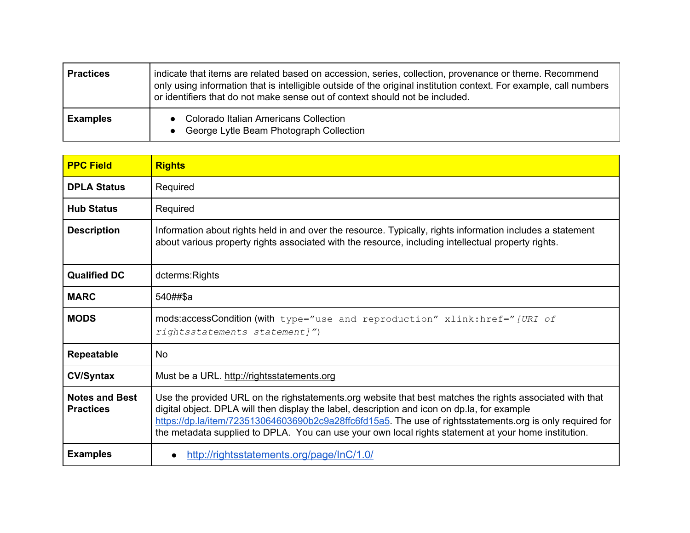| <b>Practices</b> | indicate that items are related based on accession, series, collection, provenance or theme. Recommend<br>only using information that is intelligible outside of the original institution context. For example, call numbers<br>or identifiers that do not make sense out of context should not be included. |
|------------------|--------------------------------------------------------------------------------------------------------------------------------------------------------------------------------------------------------------------------------------------------------------------------------------------------------------|
| <b>Examples</b>  | <b>Colorado Italian Americans Collection</b><br>George Lytle Beam Photograph Collection                                                                                                                                                                                                                      |

| <b>PPC Field</b>                          | <b>Rights</b>                                                                                                                                                                                                                                                                                                                                                                                                                 |
|-------------------------------------------|-------------------------------------------------------------------------------------------------------------------------------------------------------------------------------------------------------------------------------------------------------------------------------------------------------------------------------------------------------------------------------------------------------------------------------|
| <b>DPLA Status</b>                        | Required                                                                                                                                                                                                                                                                                                                                                                                                                      |
| <b>Hub Status</b>                         | Required                                                                                                                                                                                                                                                                                                                                                                                                                      |
| <b>Description</b>                        | Information about rights held in and over the resource. Typically, rights information includes a statement<br>about various property rights associated with the resource, including intellectual property rights.                                                                                                                                                                                                             |
| <b>Qualified DC</b>                       | dcterms: Rights                                                                                                                                                                                                                                                                                                                                                                                                               |
| <b>MARC</b>                               | 540##\$a                                                                                                                                                                                                                                                                                                                                                                                                                      |
| <b>MODS</b>                               | mods:accessCondition (with type="use and reproduction" xlink: href="[URI of<br>rightsstatements statement]")                                                                                                                                                                                                                                                                                                                  |
| <b>Repeatable</b>                         | <b>No</b>                                                                                                                                                                                                                                                                                                                                                                                                                     |
| <b>CV/Syntax</b>                          | Must be a URL. http://rightsstatements.org                                                                                                                                                                                                                                                                                                                                                                                    |
| <b>Notes and Best</b><br><b>Practices</b> | Use the provided URL on the righstatements org website that best matches the rights associated with that<br>digital object. DPLA will then display the label, description and icon on dp.la, for example<br>https://dp.la/item/723513064603690b2c9a28ffc6fd15a5. The use of rightsstatements.org is only required for<br>the metadata supplied to DPLA. You can use your own local rights statement at your home institution. |
| <b>Examples</b>                           | http://rightsstatements.org/page/InC/1.0/                                                                                                                                                                                                                                                                                                                                                                                     |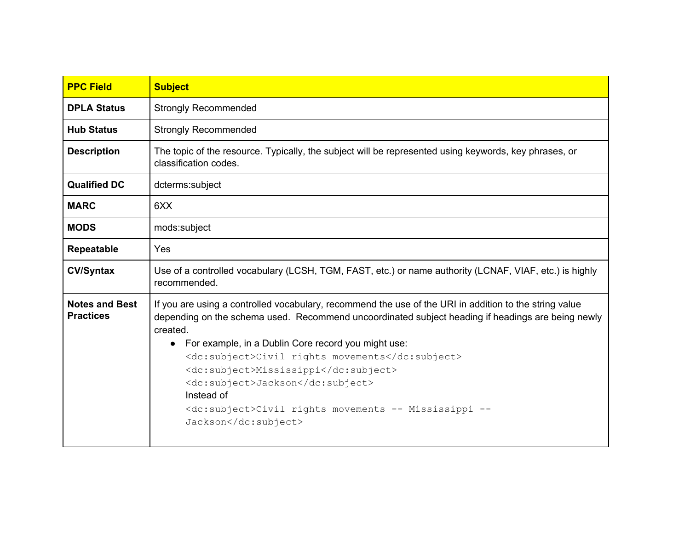| <b>PPC Field</b>                          | <b>Subject</b>                                                                                                                                                                                                                                                                                                                                                                                                                                                                                                            |
|-------------------------------------------|---------------------------------------------------------------------------------------------------------------------------------------------------------------------------------------------------------------------------------------------------------------------------------------------------------------------------------------------------------------------------------------------------------------------------------------------------------------------------------------------------------------------------|
| <b>DPLA Status</b>                        | <b>Strongly Recommended</b>                                                                                                                                                                                                                                                                                                                                                                                                                                                                                               |
| <b>Hub Status</b>                         | <b>Strongly Recommended</b>                                                                                                                                                                                                                                                                                                                                                                                                                                                                                               |
| <b>Description</b>                        | The topic of the resource. Typically, the subject will be represented using keywords, key phrases, or<br>classification codes.                                                                                                                                                                                                                                                                                                                                                                                            |
| <b>Qualified DC</b>                       | dcterms:subject                                                                                                                                                                                                                                                                                                                                                                                                                                                                                                           |
| <b>MARC</b>                               | 6XX                                                                                                                                                                                                                                                                                                                                                                                                                                                                                                                       |
| <b>MODS</b>                               | mods:subject                                                                                                                                                                                                                                                                                                                                                                                                                                                                                                              |
| Repeatable                                | Yes                                                                                                                                                                                                                                                                                                                                                                                                                                                                                                                       |
| <b>CV/Syntax</b>                          | Use of a controlled vocabulary (LCSH, TGM, FAST, etc.) or name authority (LCNAF, VIAF, etc.) is highly<br>recommended.                                                                                                                                                                                                                                                                                                                                                                                                    |
| <b>Notes and Best</b><br><b>Practices</b> | If you are using a controlled vocabulary, recommend the use of the URI in addition to the string value<br>depending on the schema used. Recommend uncoordinated subject heading if headings are being newly<br>created.<br>For example, in a Dublin Core record you might use:<br>$\bullet$<br><dc:subject>Civil rights movements</dc:subject><br><dc:subject>Mississippi</dc:subject><br><dc:subject>Jackson</dc:subject><br>Instead of<br><dc:subject>Civil rights movements -- Mississippi --<br/>Jackson</dc:subject> |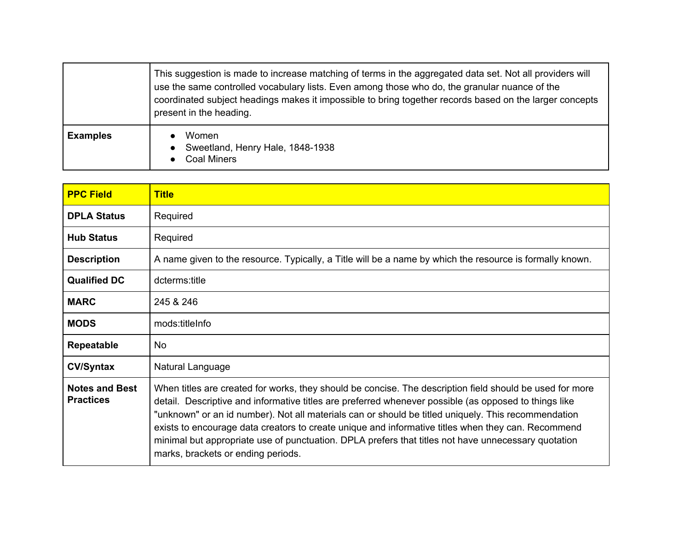|                 | This suggestion is made to increase matching of terms in the aggregated data set. Not all providers will<br>use the same controlled vocabulary lists. Even among those who do, the granular nuance of the<br>coordinated subject headings makes it impossible to bring together records based on the larger concepts<br>present in the heading. |
|-----------------|-------------------------------------------------------------------------------------------------------------------------------------------------------------------------------------------------------------------------------------------------------------------------------------------------------------------------------------------------|
| <b>Examples</b> | <b>Women</b><br>Sweetland, Henry Hale, 1848-1938<br><b>Coal Miners</b>                                                                                                                                                                                                                                                                          |

| <b>PPC Field</b>                          | <b>Title</b>                                                                                                                                                                                                                                                                                                                                                                                                                                                                                                                                                                |
|-------------------------------------------|-----------------------------------------------------------------------------------------------------------------------------------------------------------------------------------------------------------------------------------------------------------------------------------------------------------------------------------------------------------------------------------------------------------------------------------------------------------------------------------------------------------------------------------------------------------------------------|
| <b>DPLA Status</b>                        | Required                                                                                                                                                                                                                                                                                                                                                                                                                                                                                                                                                                    |
| <b>Hub Status</b>                         | Required                                                                                                                                                                                                                                                                                                                                                                                                                                                                                                                                                                    |
| <b>Description</b>                        | A name given to the resource. Typically, a Title will be a name by which the resource is formally known.                                                                                                                                                                                                                                                                                                                                                                                                                                                                    |
| <b>Qualified DC</b>                       | dcterms:title                                                                                                                                                                                                                                                                                                                                                                                                                                                                                                                                                               |
| <b>MARC</b>                               | 245 & 246                                                                                                                                                                                                                                                                                                                                                                                                                                                                                                                                                                   |
| <b>MODS</b>                               | mods:titleInfo                                                                                                                                                                                                                                                                                                                                                                                                                                                                                                                                                              |
| Repeatable                                | <b>No</b>                                                                                                                                                                                                                                                                                                                                                                                                                                                                                                                                                                   |
| <b>CV/Syntax</b>                          | Natural Language                                                                                                                                                                                                                                                                                                                                                                                                                                                                                                                                                            |
| <b>Notes and Best</b><br><b>Practices</b> | When titles are created for works, they should be concise. The description field should be used for more<br>detail. Descriptive and informative titles are preferred whenever possible (as opposed to things like<br>"unknown" or an id number). Not all materials can or should be titled uniquely. This recommendation<br>exists to encourage data creators to create unique and informative titles when they can. Recommend<br>minimal but appropriate use of punctuation. DPLA prefers that titles not have unnecessary quotation<br>marks, brackets or ending periods. |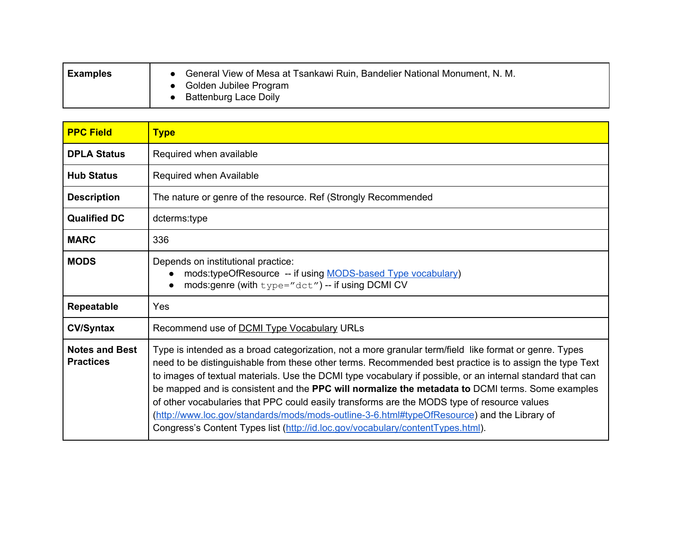| <b>Examples</b> | General View of Mesa at Tsankawi Ruin, Bandelier National Monument, N. M.<br>Golden Jubilee Program<br><b>Battenburg Lace Doily</b> |
|-----------------|-------------------------------------------------------------------------------------------------------------------------------------|
|                 |                                                                                                                                     |

| <b>PPC Field</b>                          | <b>Type</b>                                                                                                                                                                                                                                                                                                                                                                                                                                                                                                                                                                                                                                                                                                          |
|-------------------------------------------|----------------------------------------------------------------------------------------------------------------------------------------------------------------------------------------------------------------------------------------------------------------------------------------------------------------------------------------------------------------------------------------------------------------------------------------------------------------------------------------------------------------------------------------------------------------------------------------------------------------------------------------------------------------------------------------------------------------------|
| <b>DPLA Status</b>                        | Required when available                                                                                                                                                                                                                                                                                                                                                                                                                                                                                                                                                                                                                                                                                              |
| <b>Hub Status</b>                         | Required when Available                                                                                                                                                                                                                                                                                                                                                                                                                                                                                                                                                                                                                                                                                              |
| <b>Description</b>                        | The nature or genre of the resource. Ref (Strongly Recommended                                                                                                                                                                                                                                                                                                                                                                                                                                                                                                                                                                                                                                                       |
| <b>Qualified DC</b>                       | dcterms:type                                                                                                                                                                                                                                                                                                                                                                                                                                                                                                                                                                                                                                                                                                         |
| <b>MARC</b>                               | 336                                                                                                                                                                                                                                                                                                                                                                                                                                                                                                                                                                                                                                                                                                                  |
| <b>MODS</b>                               | Depends on institutional practice:<br>mods:typeOfResource -- if using MODS-based Type vocabulary)<br>mods: genre (with $type=" \text{det}$ ") -- if using DCMI CV                                                                                                                                                                                                                                                                                                                                                                                                                                                                                                                                                    |
| Repeatable                                | Yes                                                                                                                                                                                                                                                                                                                                                                                                                                                                                                                                                                                                                                                                                                                  |
| <b>CV/Syntax</b>                          | Recommend use of <b>DCMI</b> Type Vocabulary URLs                                                                                                                                                                                                                                                                                                                                                                                                                                                                                                                                                                                                                                                                    |
| <b>Notes and Best</b><br><b>Practices</b> | Type is intended as a broad categorization, not a more granular term/field like format or genre. Types<br>need to be distinguishable from these other terms. Recommended best practice is to assign the type Text<br>to images of textual materials. Use the DCMI type vocabulary if possible, or an internal standard that can<br>be mapped and is consistent and the PPC will normalize the metadata to DCMI terms. Some examples<br>of other vocabularies that PPC could easily transforms are the MODS type of resource values<br>(http://www.loc.gov/standards/mods/mods-outline-3-6.html#typeOfResource) and the Library of<br>Congress's Content Types list (http://id.loc.gov/vocabulary/contentTypes.html). |